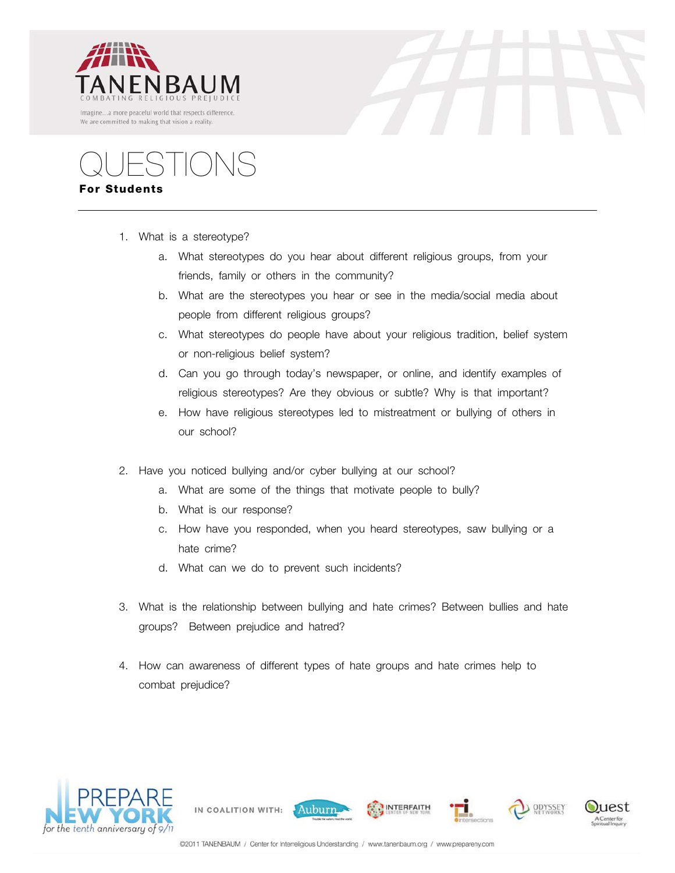



QUESTIONS **For Students**

- 1. What is a stereotype?
	- a. What stereotypes do you hear about different religious groups, from your friends, family or others in the community?
	- b. What are the stereotypes you hear or see in the media/social media about people from different religious groups?
	- c. What stereotypes do people have about your religious tradition, belief system or non-religious belief system?
	- d. Can you go through today's newspaper, or online, and identify examples of religious stereotypes? Are they obvious or subtle? Why is that important?
	- e. How have religious stereotypes led to mistreatment or bullying of others in our school?
- 2. Have you noticed bullying and/or cyber bullying at our school?
	- a. What are some of the things that motivate people to bully?
	- b. What is our response?

IN COALITION WITH:

- c. How have you responded, when you heard stereotypes, saw bullying or a hate crime?
- d. What can we do to prevent such incidents?
- 3. What is the relationship between bullying and hate crimes? Between bullies and hate groups? Between prejudice and hatred?
- 4. How can awareness of different types of hate groups and hate crimes help to combat prejudice?





Auburn

**INTERFAITH** 

ODYSSEY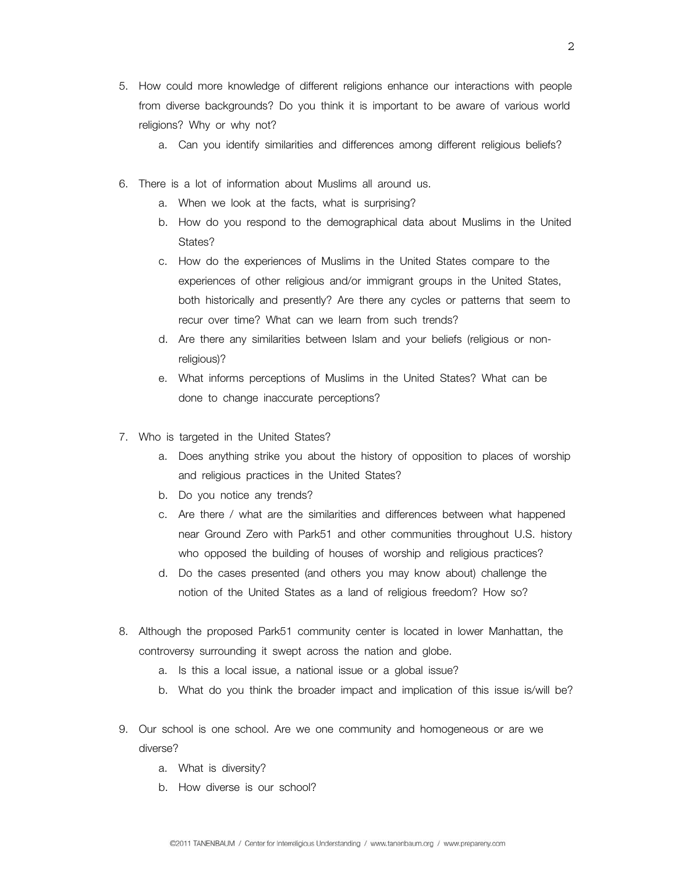- 5. How could more knowledge of different religions enhance our interactions with people from diverse backgrounds? Do you think it is important to be aware of various world religions? Why or why not?
	- a. Can you identify similarities and differences among different religious beliefs?
- 6. There is a lot of information about Muslims all around us.
	- a. When we look at the facts, what is surprising?
	- b. How do you respond to the demographical data about Muslims in the United States?
	- c. How do the experiences of Muslims in the United States compare to the experiences of other religious and/or immigrant groups in the United States, both historically and presently? Are there any cycles or patterns that seem to recur over time? What can we learn from such trends?
	- d. Are there any similarities between Islam and your beliefs (religious or nonreligious)?
	- e. What informs perceptions of Muslims in the United States? What can be done to change inaccurate perceptions?
- 7. Who is targeted in the United States?
	- a. Does anything strike you about the history of opposition to places of worship and religious practices in the United States?
	- b. Do you notice any trends?
	- c. Are there / what are the similarities and differences between what happened near Ground Zero with Park51 and other communities throughout U.S. history who opposed the building of houses of worship and religious practices?
	- d. Do the cases presented (and others you may know about) challenge the notion of the United States as a land of religious freedom? How so?
- 8. Although the proposed Park51 community center is located in lower Manhattan, the controversy surrounding it swept across the nation and globe.
	- a. Is this a local issue, a national issue or a global issue?
	- b. What do you think the broader impact and implication of this issue is/will be?
- 9. Our school is one school. Are we one community and homogeneous or are we diverse?
	- a. What is diversity?
	- b. How diverse is our school?